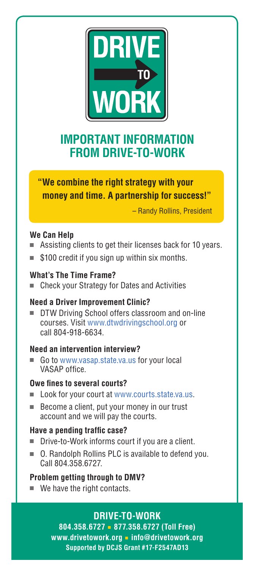

# **IMPORTANT INFORMATION FROM DRIVE-TO-WORK**

# **"We combine the right strategy with your money and time. A partnership for success!"**

– Randy Rollins, President

# **We Can Help**

- Assisting clients to get their licenses back for 10 years.
- \$100 credit if you sign up within six months.

#### **What's The Time Frame?**

■ Check your Strategy for Dates and Activities

# **Need a Driver Improvement Clinic?**

DTW Driving School offers classroom and on-line courses. Visit www.dtwdrivingschool.org or call 804-918-6634.

# **Need an intervention interview?**

■ Go to www.vasap.state.va.us for your local VASAP office.

#### **Owe fines to several courts?**

- Look for your court at www.courts.state.va.us.
- Become a client, put your money in our trust account and we will pay the courts.

#### **Have a pending traffic case?**

- Drive-to-Work informs court if you are a client.
- O. Randolph Rollins PLC is available to defend you. Call 804.358.6727.

# **Problem getting through to DMV?**

■ We have the right contacts.

# **DRIVE-TO-WORK**

**804.358.6727** ■ **877.358.6727 (Toll Free) www.drivetowork.org** ■ **info@drivetowork.org Supported by DCJS Grant #17-F2547AD13**